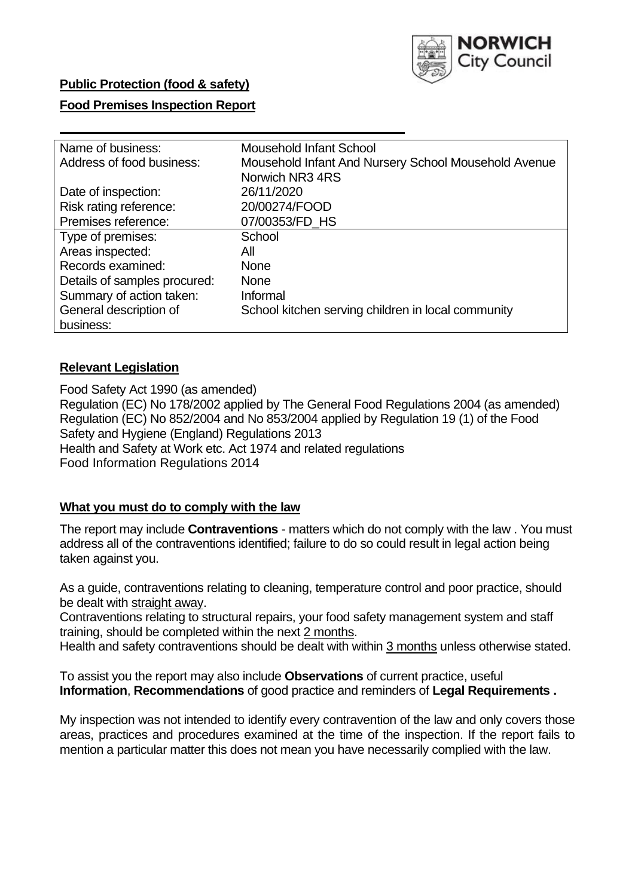

## **Public Protection (food & safety)**

### **Food Premises Inspection Report**

| Name of business:            | Mousehold Infant School                              |  |  |  |  |  |
|------------------------------|------------------------------------------------------|--|--|--|--|--|
| Address of food business:    | Mousehold Infant And Nursery School Mousehold Avenue |  |  |  |  |  |
|                              | Norwich NR3 4RS                                      |  |  |  |  |  |
| Date of inspection:          | 26/11/2020                                           |  |  |  |  |  |
| Risk rating reference:       | 20/00274/FOOD                                        |  |  |  |  |  |
| Premises reference:          | 07/00353/FD HS                                       |  |  |  |  |  |
| Type of premises:            | School                                               |  |  |  |  |  |
| Areas inspected:             | All                                                  |  |  |  |  |  |
| Records examined:            | <b>None</b>                                          |  |  |  |  |  |
| Details of samples procured: | <b>None</b>                                          |  |  |  |  |  |
| Summary of action taken:     | Informal                                             |  |  |  |  |  |
| General description of       | School kitchen serving children in local community   |  |  |  |  |  |
| business:                    |                                                      |  |  |  |  |  |

## **Relevant Legislation**

 Food Safety Act 1990 (as amended) Regulation (EC) No 178/2002 applied by The General Food Regulations 2004 (as amended) Regulation (EC) No 852/2004 and No 853/2004 applied by Regulation 19 (1) of the Food Safety and Hygiene (England) Regulations 2013 Health and Safety at Work etc. Act 1974 and related regulations Food Information Regulations 2014

## **What you must do to comply with the law**

 The report may include **Contraventions** - matters which do not comply with the law . You must address all of the contraventions identified; failure to do so could result in legal action being taken against you.

 As a guide, contraventions relating to cleaning, temperature control and poor practice, should be dealt with straight away.

 Contraventions relating to structural repairs, your food safety management system and staff training, should be completed within the next 2 months.

Health and safety contraventions should be dealt with within 3 months unless otherwise stated.

 To assist you the report may also include **Observations** of current practice, useful **Information**, **Recommendations** of good practice and reminders of **Legal Requirements .** 

 My inspection was not intended to identify every contravention of the law and only covers those areas, practices and procedures examined at the time of the inspection. If the report fails to mention a particular matter this does not mean you have necessarily complied with the law.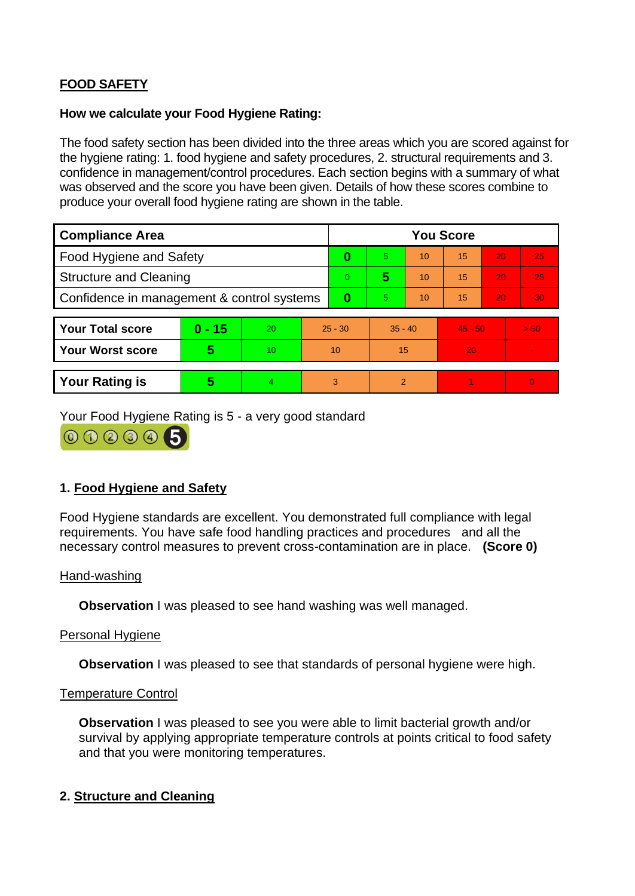# **FOOD SAFETY**

### **How we calculate your Food Hygiene Rating:**

 The food safety section has been divided into the three areas which you are scored against for the hygiene rating: 1. food hygiene and safety procedures, 2. structural requirements and 3. confidence in management/control procedures. Each section begins with a summary of what was observed and the score you have been given. Details of how these scores combine to produce your overall food hygiene rating are shown in the table.

| <b>Compliance Area</b>                     |          |    |           | <b>You Score</b> |           |    |           |    |                |  |  |
|--------------------------------------------|----------|----|-----------|------------------|-----------|----|-----------|----|----------------|--|--|
| <b>Food Hygiene and Safety</b>             |          |    | 0         | 5.               | 10        | 15 | 20        | 25 |                |  |  |
| <b>Structure and Cleaning</b>              |          |    | $\Omega$  | 5                | 10        | 15 | 20        | 25 |                |  |  |
| Confidence in management & control systems |          |    | $\bf{0}$  | 5                | 10        | 15 | 20        | 30 |                |  |  |
|                                            |          |    |           |                  |           |    |           |    |                |  |  |
| <b>Your Total score</b>                    | $0 - 15$ | 20 | $25 - 30$ |                  | $35 - 40$ |    | $45 - 50$ |    | > 50           |  |  |
| <b>Your Worst score</b>                    | 5        | 10 | 10        |                  | 15        |    | 20        |    | $\blacksquare$ |  |  |
|                                            |          |    |           |                  |           |    |           |    |                |  |  |
| <b>Your Rating is</b>                      | 5        | 4. | 3         |                  | 2         |    |           |    | $\overline{0}$ |  |  |

Your Food Hygiene Rating is 5 - a very good standard



## **1. Food Hygiene and Safety**

 requirements. You have safe food handling practices and procedures and all the Food Hygiene standards are excellent. You demonstrated full compliance with legal necessary control measures to prevent cross-contamination are in place. **(Score 0)** 

## Hand-washing

**Observation** I was pleased to see hand washing was well managed.

## Personal Hygiene

**Observation** I was pleased to see that standards of personal hygiene were high.

#### Temperature Control

**Observation** I was pleased to see you were able to limit bacterial growth and/or survival by applying appropriate temperature controls at points critical to food safety and that you were monitoring temperatures.

## **2. Structure and Cleaning**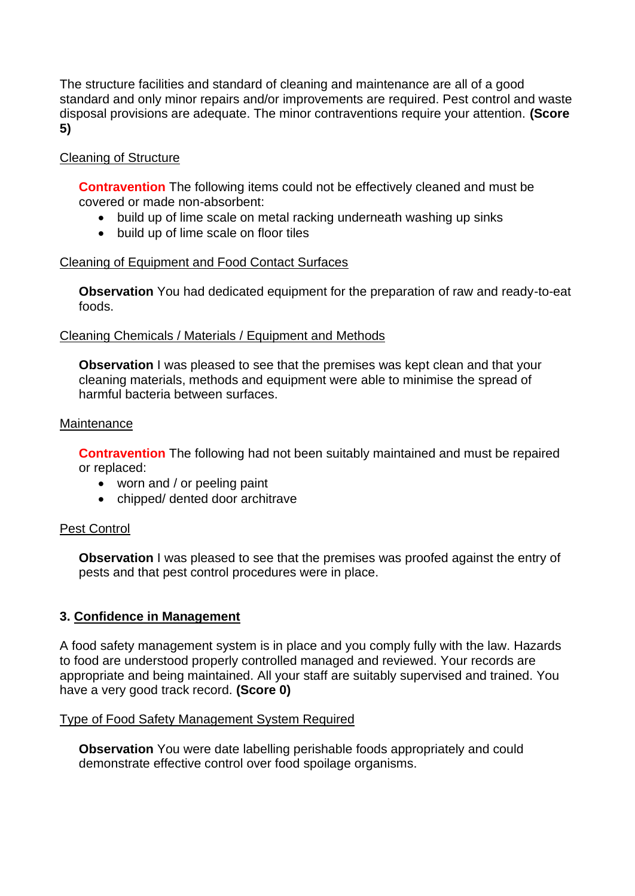The structure facilities and standard of cleaning and maintenance are all of a good standard and only minor repairs and/or improvements are required. Pest control and waste disposal provisions are adequate. The minor contraventions require your attention. **(Score 5)** 

## Cleaning of Structure

 **Contravention** The following items could not be effectively cleaned and must be covered or made non-absorbent:

- build up of lime scale on metal racking underneath washing up sinks
- build up of lime scale on floor tiles

## Cleaning of Equipment and Food Contact Surfaces

 **Observation** You had dedicated equipment for the preparation of raw and ready-to-eat foods.

## Cleaning Chemicals / Materials / Equipment and Methods

**Observation** I was pleased to see that the premises was kept clean and that your cleaning materials, methods and equipment were able to minimise the spread of harmful bacteria between surfaces.

### Maintenance

**Contravention** The following had not been suitably maintained and must be repaired or replaced:

- worn and / or peeling paint
- chipped/ dented door architrave

## Pest Control

**Observation** I was pleased to see that the premises was proofed against the entry of pests and that pest control procedures were in place.

## **3. Confidence in Management**

 appropriate and being maintained. All your staff are suitably supervised and trained. You A food safety management system is in place and you comply fully with the law. Hazards to food are understood properly controlled managed and reviewed. Your records are have a very good track record. **(Score 0)** 

## Type of Food Safety Management System Required

 demonstrate effective control over food spoilage organisms. **Observation** You were date labelling perishable foods appropriately and could